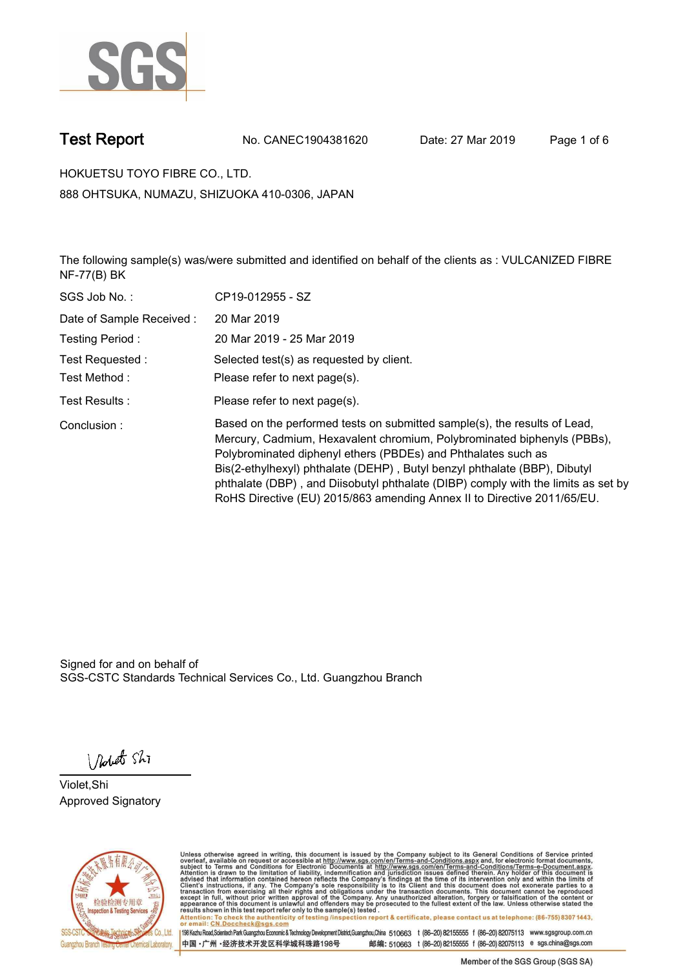

**Test Report. No. CANEC1904381620 Date: 27 Mar 2019. Page 1 of 6.**

**HOKUETSU TOYO FIBRE CO., LTD.. 888 OHTSUKA, NUMAZU, SHIZUOKA 410-0306, JAPAN**

**The following sample(s) was/were submitted and identified on behalf of the clients as : VULCANIZED FIBRE NF-77(B) BK.**

| SGS Job No.:             | CP19-012955 - SZ                                                                                                                                                                                                                                                                                                                                                                                                                                                   |
|--------------------------|--------------------------------------------------------------------------------------------------------------------------------------------------------------------------------------------------------------------------------------------------------------------------------------------------------------------------------------------------------------------------------------------------------------------------------------------------------------------|
| Date of Sample Received: | 20 Mar 2019                                                                                                                                                                                                                                                                                                                                                                                                                                                        |
| Testing Period:          | 20 Mar 2019 - 25 Mar 2019                                                                                                                                                                                                                                                                                                                                                                                                                                          |
| Test Requested :         | Selected test(s) as requested by client.                                                                                                                                                                                                                                                                                                                                                                                                                           |
| Test Method :            | Please refer to next page(s).                                                                                                                                                                                                                                                                                                                                                                                                                                      |
| Test Results :           | Please refer to next page(s).                                                                                                                                                                                                                                                                                                                                                                                                                                      |
| Conclusion:              | Based on the performed tests on submitted sample(s), the results of Lead,<br>Mercury, Cadmium, Hexavalent chromium, Polybrominated biphenyls (PBBs),<br>Polybrominated diphenyl ethers (PBDEs) and Phthalates such as<br>Bis(2-ethylhexyl) phthalate (DEHP), Butyl benzyl phthalate (BBP), Dibutyl<br>phthalate (DBP), and Diisobutyl phthalate (DIBP) comply with the limits as set by<br>RoHS Directive (EU) 2015/863 amending Annex II to Directive 2011/65/EU. |

Signed for and on behalf of SGS-CSTC Standards Technical Services Co., Ltd. Guangzhou Branch.

Nobet Shi

**Violet,Shi. Approved Signatory.**



Unless otherwise agreed in writing, this document is issued by the Company subject to its General Conditions of Service printed<br>overleaf, available on request or accessible at http://www.sgs.com/en/Terms-and-Conditions.asp Attention: To check the authenticity of testing /inspection report & certificate, please contact us at telephone: (86-755) 8307 1443,<br>Attention: To check the authenticity of testing /inspection report & certificate, please

198 Kezhu Road,Scientech Park Guangzhou Economic & Technology Development District,Guangzhou,China 510663 t (86-20) 82155555 f (86-20) 82075113 www.sgsgroup.com.cn 邮编: 510663 t (86-20) 82155555 f (86-20) 82075113 e sgs.china@sgs.com 中国·广州·经济技术开发区科学城科珠路198号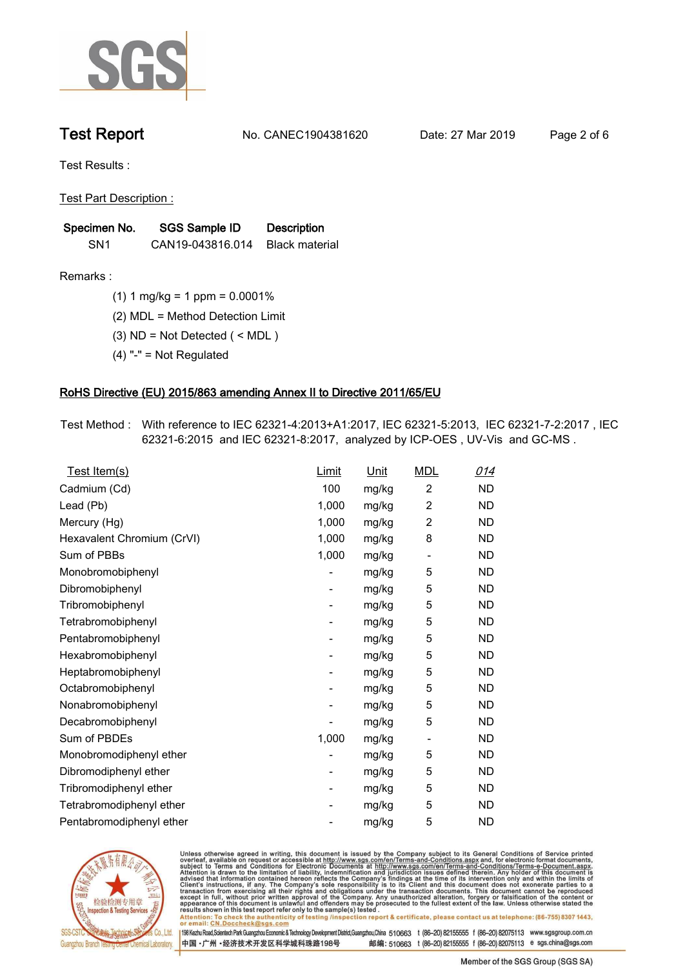

**Test Report. No. CANEC1904381620 Date: 27 Mar 2019. Page 2 of 6.**

**Test Results :.**

**Test Part Description :.**

| Specimen No.    | SGS Sample ID    | <b>Description</b> |
|-----------------|------------------|--------------------|
| SN <sub>1</sub> | CAN19-043816.014 | Black material     |

**Remarks :.(1) 1 mg/kg = 1 ppm = 0.0001%.**

**(2) MDL = Method Detection Limit.**

**(3) ND = Not Detected ( < MDL ).**

**(4) "-" = Not Regulated.**

### **RoHS Directive (EU) 2015/863 amending Annex II to Directive 2011/65/EU.**

**Test Method :. With reference to IEC 62321-4:2013+A1:2017, IEC 62321-5:2013, IEC 62321-7-2:2017 , IEC 62321-6:2015 and IEC 62321-8:2017, analyzed by ICP-OES , UV-Vis and GC-MS ..**

| Test Item(s)               | <u>Limit</u>             | <u>Unit</u> | <b>MDL</b>               | <u>014</u> |
|----------------------------|--------------------------|-------------|--------------------------|------------|
| Cadmium (Cd)               | 100                      | mg/kg       | 2                        | <b>ND</b>  |
| Lead (Pb)                  | 1,000                    | mg/kg       | $\overline{2}$           | <b>ND</b>  |
| Mercury (Hg)               | 1,000                    | mg/kg       | 2                        | <b>ND</b>  |
| Hexavalent Chromium (CrVI) | 1,000                    | mg/kg       | 8                        | <b>ND</b>  |
| Sum of PBBs                | 1,000                    | mg/kg       | $\overline{\phantom{a}}$ | <b>ND</b>  |
| Monobromobiphenyl          |                          | mg/kg       | 5                        | <b>ND</b>  |
| Dibromobiphenyl            | $\overline{\phantom{a}}$ | mg/kg       | 5                        | <b>ND</b>  |
| Tribromobiphenyl           | $\overline{\phantom{a}}$ | mg/kg       | 5                        | <b>ND</b>  |
| Tetrabromobiphenyl         | $\overline{\phantom{a}}$ | mg/kg       | 5                        | <b>ND</b>  |
| Pentabromobiphenyl         | -                        | mg/kg       | 5                        | <b>ND</b>  |
| Hexabromobiphenyl          |                          | mg/kg       | 5                        | <b>ND</b>  |
| Heptabromobiphenyl         | -                        | mg/kg       | 5                        | <b>ND</b>  |
| Octabromobiphenyl          | ۰                        | mg/kg       | 5                        | <b>ND</b>  |
| Nonabromobiphenyl          |                          | mg/kg       | 5                        | <b>ND</b>  |
| Decabromobiphenyl          |                          | mg/kg       | 5                        | <b>ND</b>  |
| Sum of PBDEs               | 1,000                    | mg/kg       | $\overline{\phantom{a}}$ | <b>ND</b>  |
| Monobromodiphenyl ether    |                          | mg/kg       | 5                        | <b>ND</b>  |
| Dibromodiphenyl ether      | $\overline{\phantom{a}}$ | mg/kg       | 5                        | <b>ND</b>  |
| Tribromodiphenyl ether     | $\overline{\phantom{a}}$ | mg/kg       | 5                        | <b>ND</b>  |
| Tetrabromodiphenyl ether   |                          | mg/kg       | 5                        | <b>ND</b>  |
| Pentabromodiphenyl ether   |                          | mg/kg       | 5                        | <b>ND</b>  |
|                            |                          |             |                          |            |



Unless otherwise agreed in writing, this document is issued by the Company subject to its General Conditions of Service printed<br>overleaf, available on request or accessible at http://www.sgs.com/en/Terms-and-Conditions.asp Attention: To check the authenticity of testing /inspection report & certificate, please contact us at telephone: (86-755) 8307 1443,<br>Attention: To check the authenticity of testing /inspection report & certificate, please

198 Kezhu Road,Scientech Park Guangzhou Economic & Technology Development District,Guangzhou,China 510663 t (86-20) 82155555 f (86-20) 82075113 www.sgsgroup.com.cn 邮编: 510663 t (86-20) 82155555 f (86-20) 82075113 e sgs.china@sgs.com 中国·广州·经济技术开发区科学城科珠路198号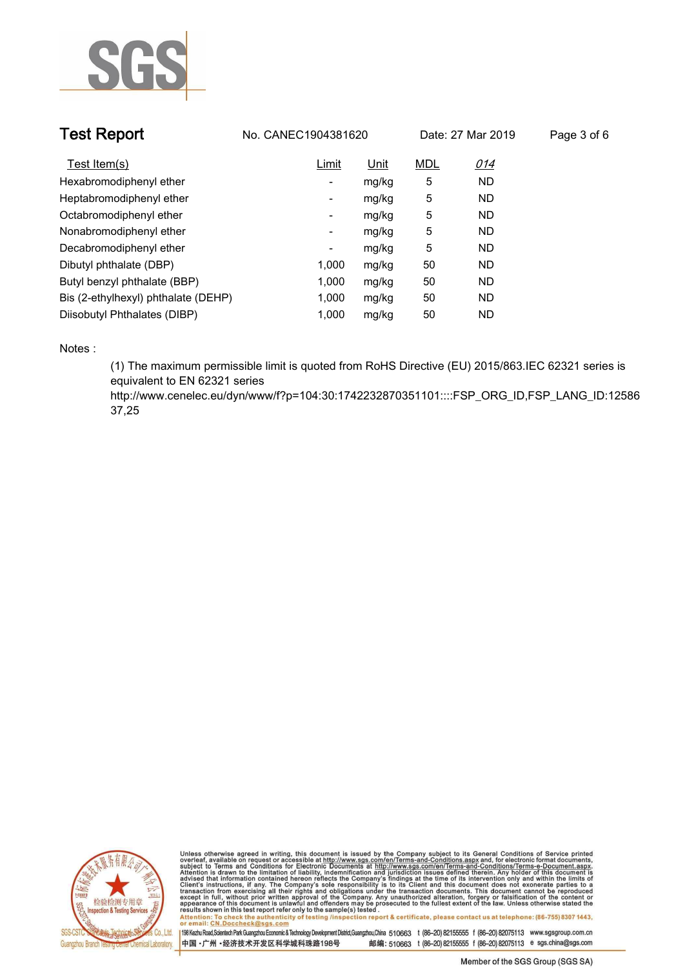

| <b>Test Report</b>                  | No. CANEC1904381620<br>Date: 27 Mar 2019 |       | Page 3 of 6 |            |  |
|-------------------------------------|------------------------------------------|-------|-------------|------------|--|
| Test Item(s)                        | Limit                                    | Unit  | <b>MDL</b>  | <u>014</u> |  |
| Hexabromodiphenyl ether             | ٠                                        | mg/kg | 5           | <b>ND</b>  |  |
| Heptabromodiphenyl ether            | ۰                                        | mg/kg | 5           | <b>ND</b>  |  |
| Octabromodiphenyl ether             | ۰                                        | mg/kg | 5           | <b>ND</b>  |  |
| Nonabromodiphenyl ether             | -                                        | mg/kg | 5           | <b>ND</b>  |  |
| Decabromodiphenyl ether             | ٠                                        | mg/kg | 5           | <b>ND</b>  |  |
| Dibutyl phthalate (DBP)             | 1.000                                    | mg/kg | 50          | <b>ND</b>  |  |
| Butyl benzyl phthalate (BBP)        | 1.000                                    | mg/kg | 50          | <b>ND</b>  |  |
| Bis (2-ethylhexyl) phthalate (DEHP) | 1.000                                    | mg/kg | 50          | <b>ND</b>  |  |
| Diisobutyl Phthalates (DIBP)        | 1.000                                    | mg/kg | 50          | <b>ND</b>  |  |

**Notes :.**

**(1) The maximum permissible limit is quoted from RoHS Directive (EU) 2015/863.IEC 62321 series is equivalent to EN 62321 series** 

**http://www.cenelec.eu/dyn/www/f?p=104:30:1742232870351101::::FSP\_ORG\_ID,FSP\_LANG\_ID:12586 37,25.**



Unless otherwise agreed in writing, this document is issued by the Company subject to its General Conditions of Service printed<br>overleaf, available on request or accessible at http://www.sgs.com/en/Terms-and-Conditions.asp Attention: To check the authenticity of testing /inspection report & certificate, please contact us at telephone: (86-755) 8307 1443,<br>Attention: To check the authenticity of testing /inspection report & certificate, please

198 Kezhu Road,Scientech Park Guangzhou Economic & Technology Development District,Guangzhou,China 510663 t (86-20) 82155555 f (86-20) 82075113 www.sgsgroup.com.cn 中国·广州·经济技术开发区科学城科珠路198号 邮编: 510663 t (86-20) 82155555 f (86-20) 82075113 e sgs.china@sgs.com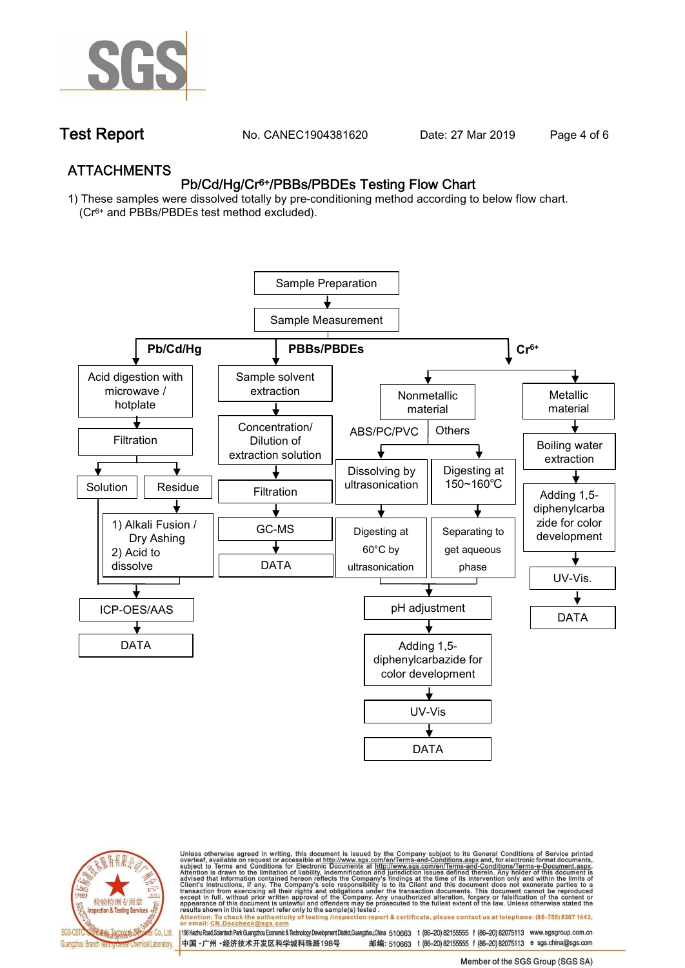

**Test Report. No. CANEC1904381620** Date: 27 Mar 2019 Page 4 of 6

## **ATTACHMENTS Pb/Cd/Hg/Cr6+/PBBs/PBDEs Testing Flow Chart**

**1) These samples were dissolved totally by pre-conditioning method according to below flow chart. (Cr6+ and PBBs/PBDEs test method excluded).**





Unless otherwise agreed in writing, this document is issued by the Company subject to its General Conditions of Service printed<br>overleaf, available on request or accessible at http://www.sgs.com/en/Terms-and-Conditions.asp résults shown in this test report refer only to the sample(s) tésted .<br>Attention: To check the authenticity of testing /inspection report & certificate, please contact us at telephone: (86-755) 8307 1443,<br>or email: <u>CN.Doc</u>

198 Kezhu Road,Scientech Park Guangzhou Economic & Technology Development District,Guangzhou,China 510663 t (86-20) 82155555 f (86-20) 82075113 www.sgsgroup.com.cn

邮编: 510663 t (86-20) 82155555 f (86-20) 82075113 e sgs.china@sgs.com 中国·广州·经济技术开发区科学城科珠路198号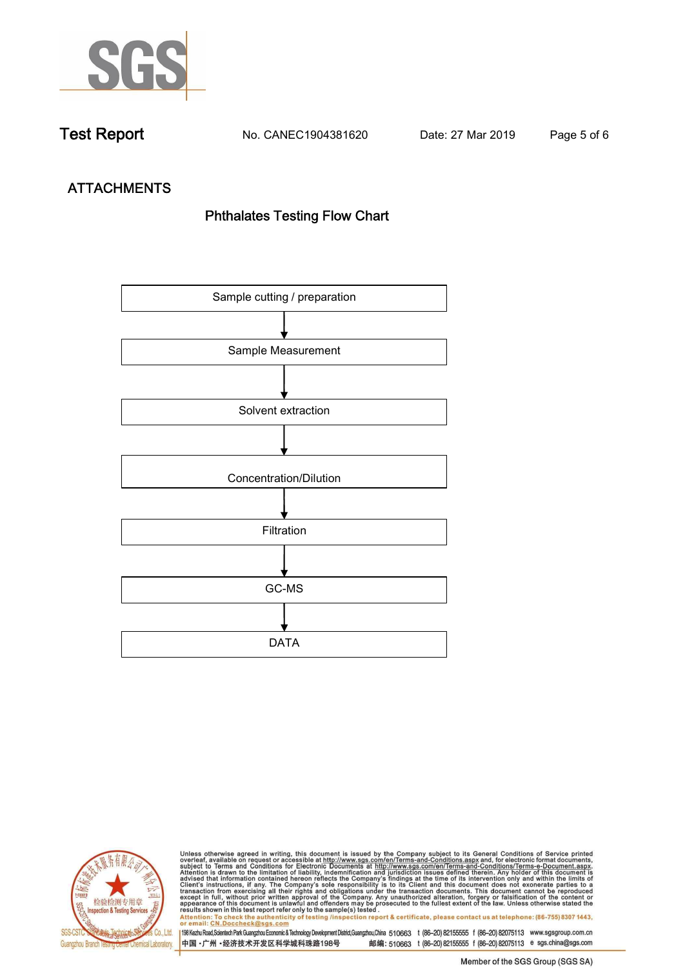

**Test Report. No. CANEC1904381620 Date: 27 Mar 2019. Page 5 of 6.**

# **ATTACHMENTS Phthalates Testing Flow Chart**





Unless otherwise agreed in writing, this document is issued by the Company subject to its General Conditions of Service printed<br>overleaf, available on request or accessible at http://www.sgs.com/en/Terms-and-Conditions.asp results shown in this test report refer only to the sample(s) tested .<br>Attention: To check the authenticity of testing /inspection report & certificate, please contact us at telephone: (86-755) 8307 1443,<br>or email: <u>CN.Doc</u>

198 Kezhu Road,Scientech Park Guangzhou Economic & Technology Development District,Guangzhou,China 510663 t (86-20) 82155555 f (86-20) 82075113 www.sgsgroup.com.cn 中国·广州·经济技术开发区科学城科珠路198号 邮编: 510663 t (86-20) 82155555 f (86-20) 82075113 e sgs.china@sgs.com